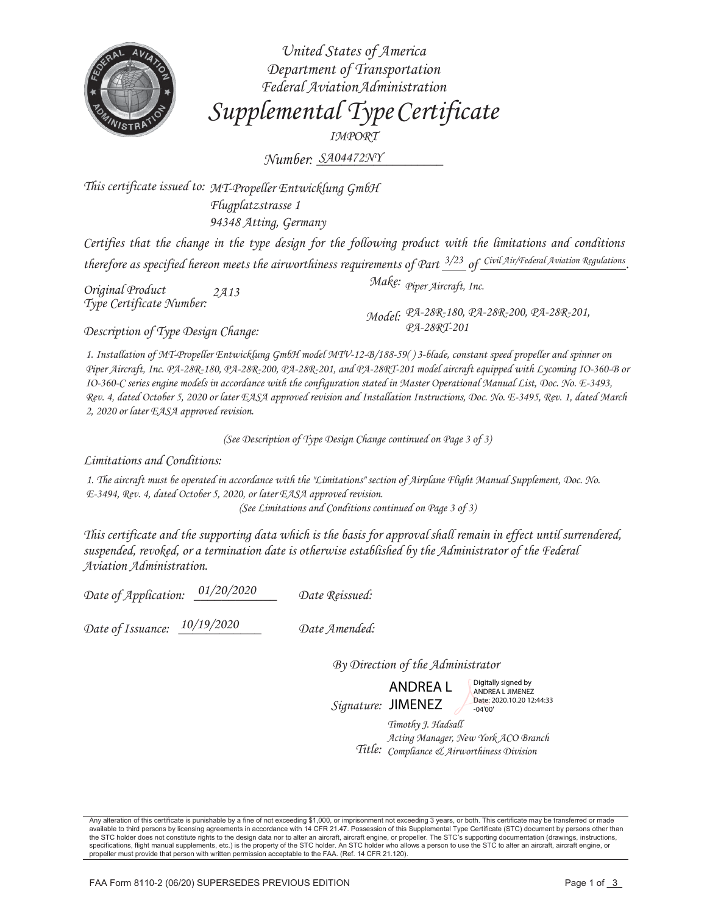

United States of America Department of Transportation Federal Aviation Administration Supplemental Type Certificate IMPORT

Number: SA04472NY

This certificate issued to: MT-Propeller Entwicklung GmbH Flugplatzstrasse 1 94348 Atting, Germany

Certifies that the change in the type design for the following product with the limitations and conditions therefore as specified hereon meets the airworthiness requirements of Part  $\frac{3}{2}$  of Civil Air/Federal Aviation Regulations

Original Product 2A13 Type Certificate Number:

Description of Type Design Change:

Make: Piper Aircraft, Inc.

Model: PA-28R-180, PA-28R-200, PA-28R-201,<br>PA-28RT-201

1. Installation of MT-Propeller Entwicklung GmbH model MTV-12-B/188-59()3-blade, constant speed propeller and spinner on Piper Aircraft, Inc. PA-28R-180, PA-28R-200, PA-28R-201, and PA-28RT-201 model aircraft equipped with Lycoming IO-360-B or IO-360-C series engine models in accordance with the configuration stated in Master Operational Manual List, Doc. No. E-3493, Rev. 4, dated October 5, 2020 or later EASA approved revision and Installation Instructions, Doc. No. E-3495, Rev. 1, dated March 2, 2020 or later EASA approved revision.

(See Description of Type Design Change continued on Page 3 of 3)

Limitations and Conditions:

1. The aircraft must be operated in accordance with the "Limitations" section of Airplane Flight Manual Supplement, Doc. No. E-3494, Rev. 4, dated October 5, 2020, or later EASA approved revision. (See Limitations and Conditions continued on Page 3 of 3)

This certificate and the supporting data which is the basis for approval shall remain in effect until surrendered, suspended, revoked, or a termination date is otherwise established by the Administrator of the Federal

Aviation Administration.

Date of Application: 01/20/2020 Date Reissued:

Date of Issuance: 10/19/2020 Date Amended:

By Direction of the Administrator

**ANDREAL** Signature: JIMENEZ

Digitally signed by ANDREA L JIMENEZ Date: 2020.10.20 12:44:33  $-04'00'$ 

Timothy J. Hadsall Acting Manager, New York ACO Branch Title: Compliance & Airworthiness Division

Any alteration of this certificate is punishable by a fine of not exceeding \$1,000, or imprisonment not exceeding 3 years, or both. This certificate may be transferred or made available to third persons by licensing agreem the STC holder does not constitute rights to the design data nor to alter an aircraft, aircraft engine, or propeller. The STC's supporting documentation (drawings, instructions, specifications, flight manual supplements, etc.) is the property of the STC holder. An STC holder who allows a person to use the STC to alter an aircraft, aircraft engine, or propeller must provide that person with written permission acceptable to the FAA. (Ref. 14 CFR 21.120).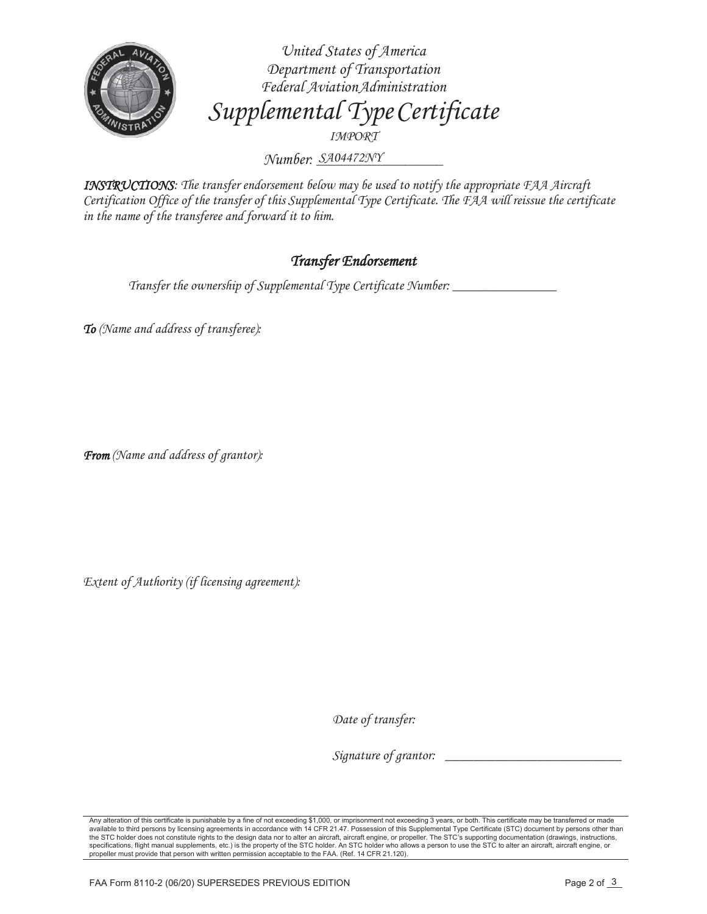

*United States of America Department of Transportation Federal Aviation Administration Supplemental Type Certificate IMPORT*

*Number: \_\_\_\_\_\_\_\_\_\_\_\_\_\_\_\_\_\_\_\_ SA04472NY*

*INSTRUCTIONS: The transfer endorsement below may be used to notify the appropriate FAA Aircraft Certification Office of the transfer of this Supplemental Type Certificate. The FAA will reissue the certificate in the name of the transferee and forward it to him.* 

## *Transfer Endorsement*

*Transfer the ownership of Supplemental Type Certificate Number: \_\_\_\_\_\_\_\_\_\_\_\_\_\_\_* 

*To (Name and address of transferee):* 

*From (Name and address of grantor):* 

*Extent of Authority (if licensing agreement):* 

Date of transfer:

*Signature of grantor: \_\_\_\_\_\_\_\_\_\_\_\_\_\_\_\_\_\_\_\_\_\_\_\_\_* 

Any alteration of this certificate is punishable by a fine of not exceeding \$1,000, or imprisonment not exceeding 3 years, or both. This certificate may be transferred or made<br>available to third persons by licensing agreem the STC holder does not constitute rights to the design data nor to alter an aircraft, aircraft engine, or propeller. The STC's supporting documentation (drawings, instructions, specifications, flight manual supplements, etc.) is the property of the STC holder. An STC holder who allows a person to use the STC to alter an aircraft, aircraft engine, or propeller must provide that person with written permission acceptable to the FAA. (Ref. 14 CFR 21.120).